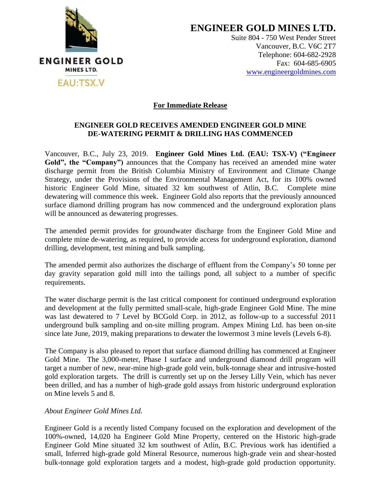

**ENGINEER GOLD MINES LTD.**

Suite 804 - 750 West Pender Street Vancouver, B.C. V6C 2T7 Telephone: 604-682-2928 Fax: 604-685-6905 [www.engineergoldmines.com](../../../AppData/Local/Microsoft/Windows/Temporary%20Internet%20Files/Library/Containers/com.apple.mail/Data/AppData/Local/Microsoft/Users/Dale/AppData/Local/Microsoft/Windows/Temporary%20Internet%20Files/Content.Outlook/RLQM2AKD/www.engineergoldmines.com)

## **For Immediate Release**

## **ENGINEER GOLD RECEIVES AMENDED ENGINEER GOLD MINE DE-WATERING PERMIT & DRILLING HAS COMMENCED**

Vancouver, B.C., July 23, 2019. **Engineer Gold Mines Ltd. (EAU: TSX-V) ("Engineer Gold", the "Company")** announces that the Company has received an amended mine water discharge permit from the British Columbia Ministry of Environment and Climate Change Strategy, under the Provisions of the Environmental Management Act, for its 100% owned historic Engineer Gold Mine, situated 32 km southwest of Atlin, B.C. Complete mine dewatering will commence this week. Engineer Gold also reports that the previously announced surface diamond drilling program has now commenced and the underground exploration plans will be announced as dewatering progresses.

The amended permit provides for groundwater discharge from the Engineer Gold Mine and complete mine de-watering, as required, to provide access for underground exploration, diamond drilling, development, test mining and bulk sampling.

The amended permit also authorizes the discharge of effluent from the Company's 50 tonne per day gravity separation gold mill into the tailings pond, all subject to a number of specific requirements.

The water discharge permit is the last critical component for continued underground exploration and development at the fully permitted small-scale, high-grade Engineer Gold Mine. The mine was last dewatered to 7 Level by BCGold Corp. in 2012, as follow-up to a successful 2011 underground bulk sampling and on-site milling program. Ampex Mining Ltd. has been on-site since late June, 2019, making preparations to dewater the lowermost 3 mine levels (Levels 6-8).

The Company is also pleased to report that surface diamond drilling has commenced at Engineer Gold Mine. The 3,000-meter, Phase I surface and underground diamond drill program will target a number of new, near-mine high-grade gold vein, bulk-tonnage shear and intrusive-hosted gold exploration targets. The drill is currently set up on the Jersey Lilly Vein, which has never been drilled, and has a number of high-grade gold assays from historic underground exploration on Mine levels 5 and 8.

## *About Engineer Gold Mines Ltd.*

Engineer Gold is a recently listed Company focused on the exploration and development of the 100%-owned, 14,020 ha Engineer Gold Mine Property, centered on the Historic high-grade Engineer Gold Mine situated 32 km southwest of Atlin, B.C. Previous work has identified a small, Inferred high-grade gold Mineral Resource, numerous high-grade vein and shear-hosted bulk-tonnage gold exploration targets and a modest, high-grade gold production opportunity.